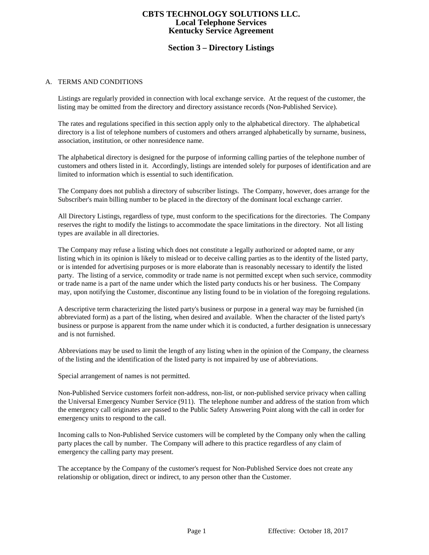# **Section 3 – Directory Listings**

#### A. TERMS AND CONDITIONS

Listings are regularly provided in connection with local exchange service. At the request of the customer, the listing may be omitted from the directory and directory assistance records (Non-Published Service).

The rates and regulations specified in this section apply only to the alphabetical directory. The alphabetical directory is a list of telephone numbers of customers and others arranged alphabetically by surname, business, association, institution, or other nonresidence name.

The alphabetical directory is designed for the purpose of informing calling parties of the telephone number of customers and others listed in it. Accordingly, listings are intended solely for purposes of identification and are limited to information which is essential to such identification.

The Company does not publish a directory of subscriber listings. The Company, however, does arrange for the Subscriber's main billing number to be placed in the directory of the dominant local exchange carrier.

All Directory Listings, regardless of type, must conform to the specifications for the directories. The Company reserves the right to modify the listings to accommodate the space limitations in the directory. Not all listing types are available in all directories.

The Company may refuse a listing which does not constitute a legally authorized or adopted name, or any listing which in its opinion is likely to mislead or to deceive calling parties as to the identity of the listed party, or is intended for advertising purposes or is more elaborate than is reasonably necessary to identify the listed party. The listing of a service, commodity or trade name is not permitted except when such service, commodity or trade name is a part of the name under which the listed party conducts his or her business. The Company may, upon notifying the Customer, discontinue any listing found to be in violation of the foregoing regulations.

A descriptive term characterizing the listed party's business or purpose in a general way may be furnished (in abbreviated form) as a part of the listing, when desired and available. When the character of the listed party's business or purpose is apparent from the name under which it is conducted, a further designation is unnecessary and is not furnished.

Abbreviations may be used to limit the length of any listing when in the opinion of the Company, the clearness of the listing and the identification of the listed party is not impaired by use of abbreviations.

Special arrangement of names is not permitted.

Non-Published Service customers forfeit non-address, non-list, or non-published service privacy when calling the Universal Emergency Number Service (911). The telephone number and address of the station from which the emergency call originates are passed to the Public Safety Answering Point along with the call in order for emergency units to respond to the call.

Incoming calls to Non-Published Service customers will be completed by the Company only when the calling party places the call by number. The Company will adhere to this practice regardless of any claim of emergency the calling party may present.

The acceptance by the Company of the customer's request for Non-Published Service does not create any relationship or obligation, direct or indirect, to any person other than the Customer.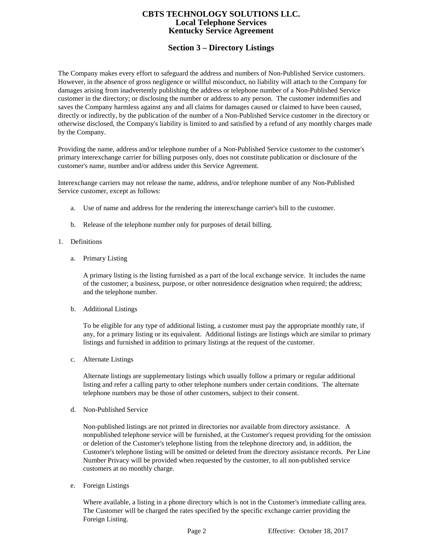# **Section 3 – Directory Listings**

The Company makes every effort to safeguard the address and numbers of Non-Published Service customers. However, in the absence of gross negligence or willful misconduct, no liability will attach to the Company for damages arising from inadvertently publishing the address or telephone number of a Non-Published Service customer in the directory; or disclosing the number or address to any person. The customer indemnifies and saves the Company harmless against any and all claims for damages caused or claimed to have been caused, directly or indirectly, by the publication of the number of a Non-Published Service customer in the directory or otherwise disclosed, the Company's liability is limited to and satisfied by a refund of any monthly charges made by the Company.

Providing the name, address and/or telephone number of a Non-Published Service customer to the customer's primary interexchange carrier for billing purposes only, does not constitute publication or disclosure of the customer's name, number and/or address under this Service Agreement.

Interexchange carriers may not release the name, address, and/or telephone number of any Non-Published Service customer, except as follows:

- a. Use of name and address for the rendering the interexchange carrier's bill to the customer.
- b. Release of the telephone number only for purposes of detail billing.
- 1. Definitions
	- a. Primary Listing

A primary listing is the listing furnished as a part of the local exchange service. It includes the name of the customer; a business, purpose, or other nonresidence designation when required; the address; and the telephone number.

b. Additional Listings

To be eligible for any type of additional listing, a customer must pay the appropriate monthly rate, if any, for a primary listing or its equivalent. Additional listings are listings which are similar to primary listings and furnished in addition to primary listings at the request of the customer.

c. Alternate Listings

Alternate listings are supplementary listings which usually follow a primary or regular additional listing and refer a calling party to other telephone numbers under certain conditions. The alternate telephone numbers may be those of other customers, subject to their consent.

d. Non-Published Service

Non-published listings are not printed in directories nor available from directory assistance. A nonpublished telephone service will be furnished, at the Customer's request providing for the omission or deletion of the Customer's telephone listing from the telephone directory and, in addition, the Customer's telephone listing will be omitted or deleted from the directory assistance records. Per Line Number Privacy will be provided when requested by the customer, to all non-published service customers at no monthly charge.

e. Foreign Listings

Where available, a listing in a phone directory which is not in the Customer's immediate calling area. The Customer will be charged the rates specified by the specific exchange carrier providing the Foreign Listing.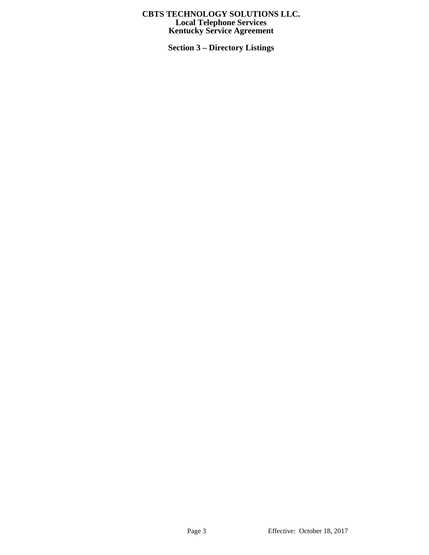**Section 3 – Directory Listings**